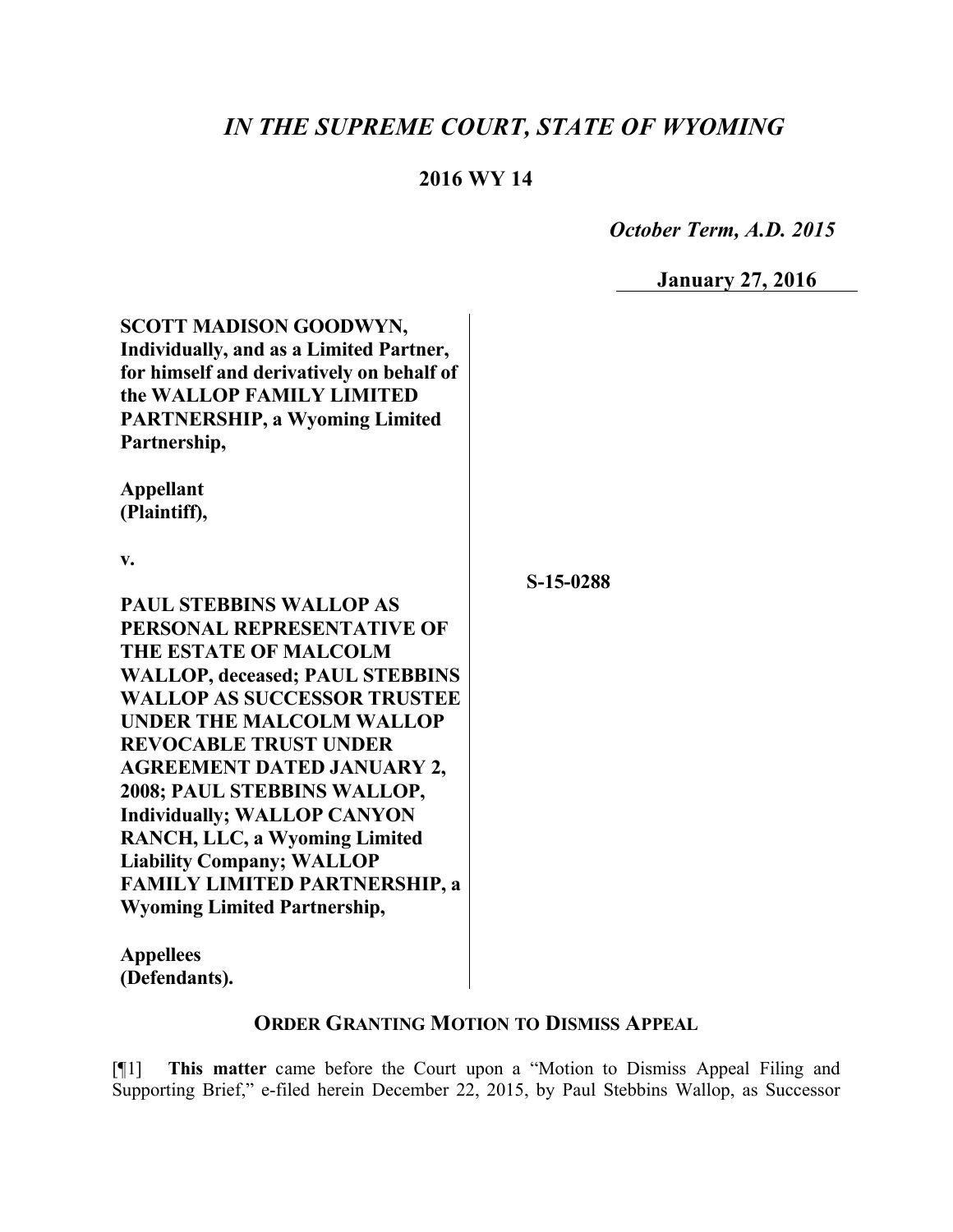# *IN THE SUPREME COURT, STATE OF WYOMING*

## **2016 WY 14**

 *October Term, A.D. 2015*

**January 27, 2016**

| SCOTT MADISON GOODWYN,<br>Individually, and as a Limited Partner,<br>for himself and derivatively on behalf of<br>the WALLOP FAMILY LIMITED<br><b>PARTNERSHIP, a Wyoming Limited</b><br>Partnership, |           |
|------------------------------------------------------------------------------------------------------------------------------------------------------------------------------------------------------|-----------|
| <b>Appellant</b><br>(Plaintiff),                                                                                                                                                                     |           |
| v.                                                                                                                                                                                                   | S-15-0288 |
| <b>PAUL STEBBINS WALLOP AS</b>                                                                                                                                                                       |           |
| PERSONAL REPRESENTATIVE OF                                                                                                                                                                           |           |
| THE ESTATE OF MALCOLM                                                                                                                                                                                |           |
| <b>WALLOP, deceased; PAUL STEBBINS</b>                                                                                                                                                               |           |
| <b>WALLOP AS SUCCESSOR TRUSTEE</b>                                                                                                                                                                   |           |
| <b>UNDER THE MALCOLM WALLOP</b>                                                                                                                                                                      |           |
| <b>REVOCABLE TRUST UNDER</b>                                                                                                                                                                         |           |
| <b>AGREEMENT DATED JANUARY 2,</b>                                                                                                                                                                    |           |
| 2008; PAUL STEBBINS WALLOP,                                                                                                                                                                          |           |
| <b>Individually; WALLOP CANYON</b>                                                                                                                                                                   |           |
| RANCH, LLC, a Wyoming Limited                                                                                                                                                                        |           |
| <b>Liability Company; WALLOP</b>                                                                                                                                                                     |           |
| <b>FAMILY LIMITED PARTNERSHIP, a</b>                                                                                                                                                                 |           |
| <b>Wyoming Limited Partnership,</b>                                                                                                                                                                  |           |
| <b>Appellees</b>                                                                                                                                                                                     |           |
| (Defendants).                                                                                                                                                                                        |           |

## **ORDER GRANTING MOTION TO DISMISS APPEAL**

[¶1] **This matter** came before the Court upon a "Motion to Dismiss Appeal Filing and Supporting Brief," e-filed herein December 22, 2015, by Paul Stebbins Wallop, as Successor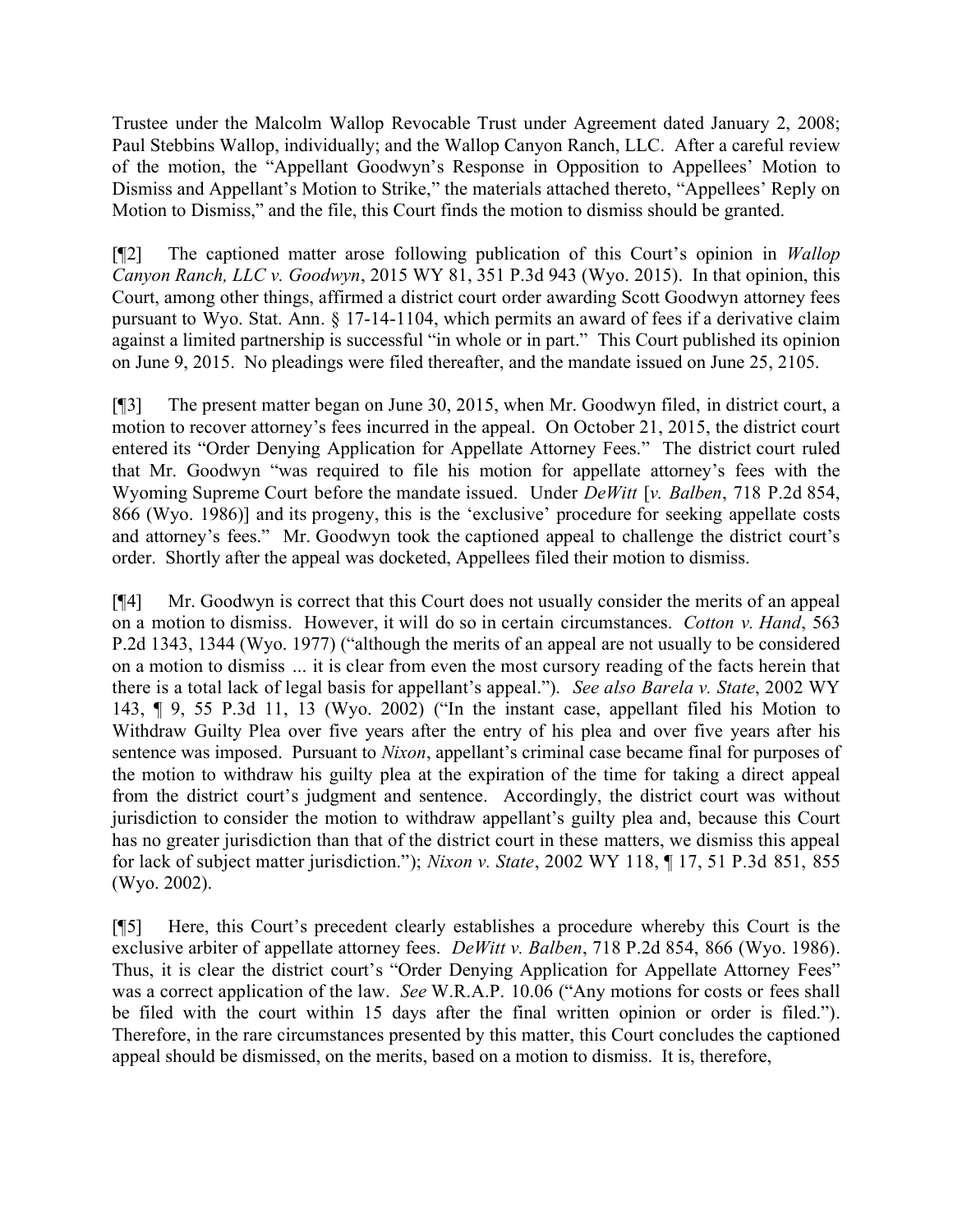Trustee under the Malcolm Wallop Revocable Trust under Agreement dated January 2, 2008; Paul Stebbins Wallop, individually; and the Wallop Canyon Ranch, LLC. After a careful review of the motion, the "Appellant Goodwyn's Response in Opposition to Appellees' Motion to Dismiss and Appellant's Motion to Strike," the materials attached thereto, "Appellees' Reply on Motion to Dismiss," and the file, this Court finds the motion to dismiss should be granted.

[¶2] The captioned matter arose following publication of this Court's opinion in *Wallop Canyon Ranch, LLC v. Goodwyn*, 2015 WY 81, 351 P.3d 943 (Wyo. 2015). In that opinion, this Court, among other things, affirmed a district court order awarding Scott Goodwyn attorney fees pursuant to Wyo. Stat. Ann. § 17-14-1104, which permits an award of fees if a derivative claim against a limited partnership is successful "in whole or in part." This Court published its opinion on June 9, 2015. No pleadings were filed thereafter, and the mandate issued on June 25, 2105.

[¶3] The present matter began on June 30, 2015, when Mr. Goodwyn filed, in district court, a motion to recover attorney's fees incurred in the appeal. On October 21, 2015, the district court entered its "Order Denying Application for Appellate Attorney Fees." The district court ruled that Mr. Goodwyn "was required to file his motion for appellate attorney's fees with the Wyoming Supreme Court before the mandate issued. Under *DeWitt* [*v. Balben*, 718 P.2d 854, 866 (Wyo. 1986)] and its progeny, this is the 'exclusive' procedure for seeking appellate costs and attorney's fees." Mr. Goodwyn took the captioned appeal to challenge the district court's order. Shortly after the appeal was docketed, Appellees filed their motion to dismiss.

[¶4] Mr. Goodwyn is correct that this Court does not usually consider the merits of an appeal on a motion to dismiss. However, it will do so in certain circumstances. *Cotton v. Hand*, 563 P.2d 1343, 1344 (Wyo. 1977) ("although the merits of an appeal are not usually to be considered on a motion to dismiss *…* it is clear from even the most cursory reading of the facts herein that there is a total lack of legal basis for appellant's appeal."). *See also Barela v. State*, 2002 WY 143, ¶ 9, 55 P.3d 11, 13 (Wyo. 2002) ("In the instant case, appellant filed his Motion to Withdraw Guilty Plea over five years after the entry of his plea and over five years after his sentence was imposed. Pursuant to *Nixon*, appellant's criminal case became final for purposes of the motion to withdraw his guilty plea at the expiration of the time for taking a direct appeal from the district court's judgment and sentence. Accordingly, the district court was without jurisdiction to consider the motion to withdraw appellant's guilty plea and, because this Court has no greater jurisdiction than that of the district court in these matters, we dismiss this appeal for lack of subject matter jurisdiction."); *Nixon v. State*, 2002 WY 118, ¶ 17, 51 P.3d 851, 855 (Wyo. 2002).

[¶5] Here, this Court's precedent clearly establishes a procedure whereby this Court is the exclusive arbiter of appellate attorney fees. *DeWitt v. Balben*, 718 P.2d 854, 866 (Wyo. 1986). Thus, it is clear the district court's "Order Denying Application for Appellate Attorney Fees" was a correct application of the law. *See* W.R.A.P. 10.06 ("Any motions for costs or fees shall be filed with the court within 15 days after the final written opinion or order is filed."). Therefore, in the rare circumstances presented by this matter, this Court concludes the captioned appeal should be dismissed, on the merits, based on a motion to dismiss. It is, therefore,